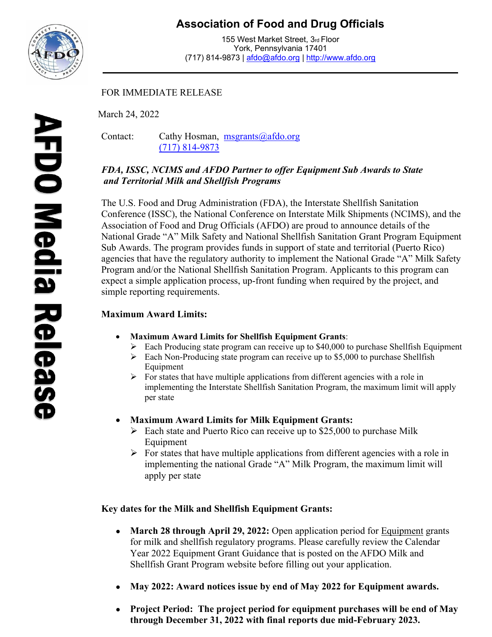

## **Association of Food and Drug Officials**

155 West Market Street, 3rd Floor York, Pennsylvania 17401 (717) 814-9873 | [afdo@afdo.org](mailto:afdo@afdo.org) | [http://www.afdo.org](http://www.afdo.org/)

### FOR IMMEDIATE RELEASE

March 24, 2022

Contact: Cathy Hosman, [msgrants@afdo.org](mailto:msgrants@afdo.org) (717) 814-9873

#### *FDA, ISSC, NCIMS and AFDO Partner to offer Equipment Sub Awards to State and Territorial Milk and Shellfish Programs*

The U.S. Food and Drug Administration (FDA), the Interstate Shellfish Sanitation Conference (ISSC), the National Conference on Interstate Milk Shipments (NCIMS), and the Association of Food and Drug Officials (AFDO) are proud to announce details of the National Grade "A" Milk Safety and National Shellfish Sanitation Grant Program Equipment Sub Awards. The program provides funds in support of state and territorial (Puerto Rico) agencies that have the regulatory authority to implement the National Grade "A" Milk Safety Program and/or the National Shellfish Sanitation Program. Applicants to this program can expect a simple application process, up-front funding when required by the project, and simple reporting requirements.

## **Maximum Award Limits:**

- **Maximum Award Limits for Shellfish Equipment Grants**:
	- $\triangleright$  Each Producing state program can receive up to \$40,000 to purchase Shellfish Equipment
	- $\triangleright$  Each Non-Producing state program can receive up to \$5,000 to purchase Shellfish Equipment
	- $\triangleright$  For states that have multiple applications from different agencies with a role in implementing the Interstate Shellfish Sanitation Program, the maximum limit will apply per state
- **Maximum Award Limits for Milk Equipment Grants:**
	- $\triangleright$  Each state and Puerto Rico can receive up to \$25,000 to purchase Milk Equipment
	- $\triangleright$  For states that have multiple applications from different agencies with a role in implementing the national Grade "A" Milk Program, the maximum limit will apply per state

#### **Key dates for the Milk and Shellfish Equipment Grants:**

- March 28 through April 29, 2022: Open application period for **Equipment** grants for milk and shellfish regulatory programs. Please carefully review the Calendar Year 2022 Equipment Grant Guidance that is posted on the AFDO Milk and Shellfish Grant Program website before filling out your application.
- **May 2022: Award notices issue by end of May 2022 for Equipment awards.**
- **Project Period: The project period for equipment purchases will be end of May through December 31, 2022 with final reports due mid-February 2023.**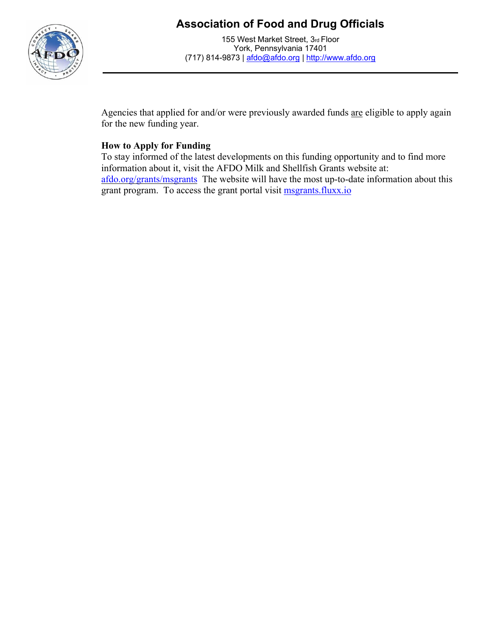# **Association of Food and Drug Officials**



155 West Market Street, 3rd Floor York, Pennsylvania 17401 (717) 814-9873 | [afdo@afdo.org](mailto:afdo@afdo.org) | [http://www.afdo.org](http://www.afdo.org/)

Agencies that applied for and/or were previously awarded funds are eligible to apply again for the new funding year.

### **How to Apply for Funding**

To stay informed of the latest developments on this funding opportunity and to find more information about it, visit the AFDO Milk and Shellfish Grants website at: [afdo.org/grants/msgrants](http://www.afdo.org/msgrants) The website will have the most up-to-date information about this grant program. To access the grant portal visit **msgrants.fluxx.io**